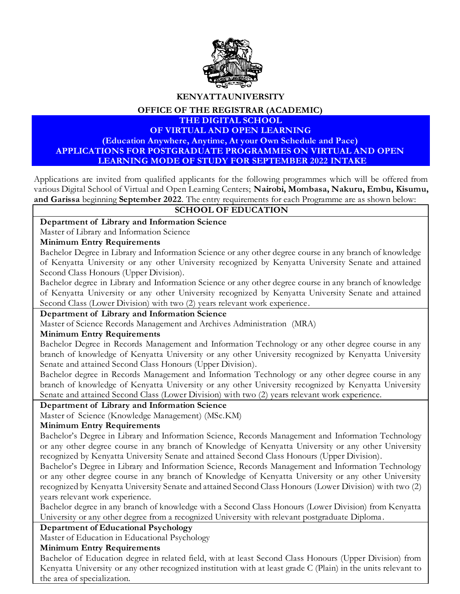

**KENYATTAUNIVERSITY**

**OFFICE OF THE REGISTRAR (ACADEMIC)**

#### **THE DIGITAL SCHOOL OF VIRTUAL AND OPEN LEARNING**

**(Education Anywhere, Anytime, At your Own Schedule and Pace) APPLICATIONS FOR POSTGRADUATE PROGRAMMES ON VIRTUAL AND OPEN LEARNING MODE OF STUDY FOR SEPTEMBER 2022 INTAKE**

Applications are invited from qualified applicants for the following programmes which will be offered from various Digital School of Virtual and Open Learning Centers; **Nairobi, Mombasa, Nakuru, Embu, Kisumu, and Garissa** beginning **September 2022**. The entry requirements for each Programme are as shown below:

# **SCHOOL OF EDUCATION**

**Department of Library and Information Science**

# Master of Library and Information Science

#### **Minimum Entry Requirements**

Bachelor Degree in Library and Information Science or any other degree course in any branch of knowledge of Kenyatta University or any other University recognized by Kenyatta University Senate and attained Second Class Honours (Upper Division).

Bachelor degree in Library and Information Science or any other degree course in any branch of knowledge of Kenyatta University or any other University recognized by Kenyatta University Senate and attained Second Class (Lower Division) with two (2) years relevant work experience.

# **Department of Library and Information Science**

Master of Science Records Management and Archives Administration (MRA)

# **Minimum Entry Requirements**

Bachelor Degree in Records Management and Information Technology or any other degree course in any branch of knowledge of Kenyatta University or any other University recognized by Kenyatta University Senate and attained Second Class Honours (Upper Division).

Bachelor degree in Records Management and Information Technology or any other degree course in any branch of knowledge of Kenyatta University or any other University recognized by Kenyatta University Senate and attained Second Class (Lower Division) with two (2) years relevant work experience.

# **Department of Library and Information Science**

Master of Science (Knowledge Management) (MSc.KM)

# **Minimum Entry Requirements**

Bachelor's Degree in Library and Information Science, Records Management and Information Technology or any other degree course in any branch of Knowledge of Kenyatta University or any other University recognized by Kenyatta University Senate and attained Second Class Honours (Upper Division).

Bachelor's Degree in Library and Information Science, Records Management and Information Technology or any other degree course in any branch of Knowledge of Kenyatta University or any other University recognized by Kenyatta University Senate and attained Second Class Honours (Lower Division) with two (2) years relevant work experience.

Bachelor degree in any branch of knowledge with a Second Class Honours (Lower Division) from Kenyatta University or any other degree from a recognized University with relevant postgraduate Diploma .

#### **Department of Educational Psychology**

Master of Education in Educational Psychology

#### **Minimum Entry Requirements**

Bachelor of Education degree in related field, with at least Second Class Honours (Upper Division) from Kenyatta University or any other recognized institution with at least grade C (Plain) in the units relevant to the area of specialization.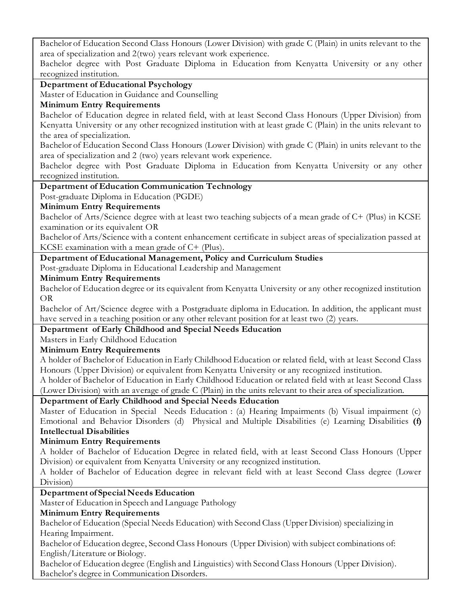Bachelor of Education Second Class Honours (Lower Division) with grade C (Plain) in units relevant to the area of specialization and 2(two) years relevant work experience.

Bachelor degree with Post Graduate Diploma in Education from Kenyatta University or any other recognized institution.

# **Department of Educational Psychology**

Master of Education in Guidance and Counselling

# **Minimum Entry Requirements**

Bachelor of Education degree in related field, with at least Second Class Honours (Upper Division) from Kenyatta University or any other recognized institution with at least grade C (Plain) in the units relevant to the area of specialization.

Bachelor of Education Second Class Honours (Lower Division) with grade C (Plain) in units relevant to the area of specialization and 2 (two) years relevant work experience.

Bachelor degree with Post Graduate Diploma in Education from Kenyatta University or any other recognized institution.

# **Department of Education Communication Technology**

Post-graduate Diploma in Education (PGDE)

# **Minimum Entry Requirements**

Bachelor of Arts/Science degree with at least two teaching subjects of a mean grade of C+ (Plus) in KCSE examination or its equivalent OR

Bachelor of Arts/Science with a content enhancement certificate in subject areas of specialization passed at KCSE examination with a mean grade of C+ (Plus).

# **Department of Educational Management, Policy and Curriculum Studies**

Post-graduate Diploma in Educational Leadership and Management

# **Minimum Entry Requirements**

Bachelor of Education degree or its equivalent from Kenyatta University or any other recognized institution OR

Bachelor of Art/Science degree with a Postgraduate diploma in Education. In addition, the applicant must have served in a teaching position or any other relevant position for at least two (2) years.

# **Department of Early Childhood and Special Needs Education**

Masters in Early Childhood Education

# **Minimum Entry Requirements**

A holder of Bachelor of Education in Early Childhood Education or related field, with at least Second Class Honours (Upper Division) or equivalent from Kenyatta University or any recognized institution.

A holder of Bachelor of Education in Early Childhood Education or related field with at least Second Class (Lower Division) with an average of grade C (Plain) in the units relevant to their area of specialization.

# **Department of Early Childhood and Special Needs Education**

Master of Education in Special Needs Education : (a) Hearing Impairments (b) Visual impairment (c) Emotional and Behavior Disorders (d) Physical and Multiple Disabilities (e) Learning Disabilities **(f) Intellectual Disabilities**

# **Minimum Entry Requirements**

A holder of Bachelor of Education Degree in related field, with at least Second Class Honours (Upper Division) or equivalent from Kenyatta University or any recognized institution.

A holder of Bachelor of Education degree in relevant field with at least Second Class degree (Lower Division)

# **Department of Special Needs Education**

Master of Education in Speech and Language Pathology

# **Minimum Entry Requirements**

Bachelor of Education (Special Needs Education) with Second Class (Upper Division) specializing in Hearing Impairment.

Bachelor of Education degree, Second Class Honours (Upper Division) with subject combinations of: English/Literature or Biology.

Bachelor of Education degree (English and Linguistics) with Second Class Honours (Upper Division). Bachelor's degree in Communication Disorders.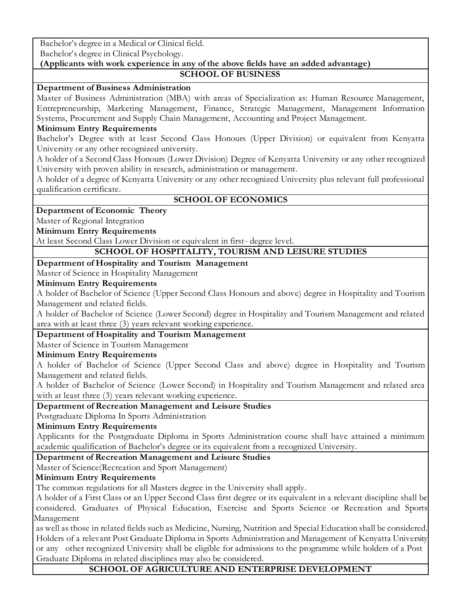Bachelor's degree in a Medical or Clinical field.

Bachelor's degree in Clinical Psychology.

#### **(Applicants with work experience in any of the above fields have an added advantage) SCHOOL OF BUSINESS**

#### **Department of Business Administration**

Master of Business Administration (MBA) with areas of Specialization as: Human Resource Management, Entrepreneurship, Marketing Management, Finance, Strategic Management, Management Information Systems, Procurement and Supply Chain Management, Accounting and Project Management.

#### **Minimum Entry Requirements**

Bachelor's Degree with at least Second Class Honours (Upper Division) or equivalent from Kenyatta University or any other recognized university.

A holder of a Second Class Honours (Lower Division) Degree of Kenyatta University or any other recognized University with proven ability in research, administration or management.

A holder of a degree of Kenyatta University or any other recognized University plus relevant full professional qualification certificate.

#### **SCHOOL OF ECONOMICS**

**Department of Economic Theory**

Master of Regional Integration

# **Minimum Entry Requirements**

At least Second Class Lower Division or equivalent in first- degree level.

# **SCHOOL OF HOSPITALITY, TOURISM AND LEISURE STUDIES**

#### **Department of Hospitality and Tourism Management**

Master of Science in Hospitality Management

#### **Minimum Entry Requirements**

A holder of Bachelor of Science (Upper Second Class Honours and above) degree in Hospitality and Tourism Management and related fields.

A holder of Bachelor of Science (Lower Second) degree in Hospitality and Tourism Management and related area with at least three (3) years relevant working experience.

# **Department of Hospitality and Tourism Management**

Master of Science in Tourism Management

# **Minimum Entry Requirements**

A holder of Bachelor of Science (Upper Second Class and above) degree in Hospitality and Tourism Management and related fields.

A holder of Bachelor of Science (Lower Second) in Hospitality and Tourism Management and related area with at least three (3) years relevant working experience.

# **Department of Recreation Management and Leisure Studies**

Postgraduate Diploma In Sports Administration

# **Minimum Entry Requirements**

Applicants for the Postgraduate Diploma in Sports Administration course shall have attained a minimum academic qualification of Bachelor's degree or its equivalent from a recognized University.

# **Department of Recreation Management and Leisure Studies**

Master of Science(Recreation and Sport Management)

# **Minimum Entry Requirements**

The common regulations for all Masters degree in the University shall apply.

A holder of a First Class or an Upper Second Class first degree or its equivalent in a relevant discipline shall be considered. Graduates of Physical Education, Exercise and Sports Science or Recreation and Sports Management

as well as those in related fields such as Medicine, Nursing, Nutrition and Special Education shall be considered. Holders of a relevant Post Graduate Diploma in Sports Administration and Management of Kenyatta University or any other recognized University shall be eligible for admissions to the programme while holders of a Post Graduate Diploma in related disciplines may also be considered.

# **SCHOOL OF AGRICULTURE AND ENTERPRISE DEVELOPMENT**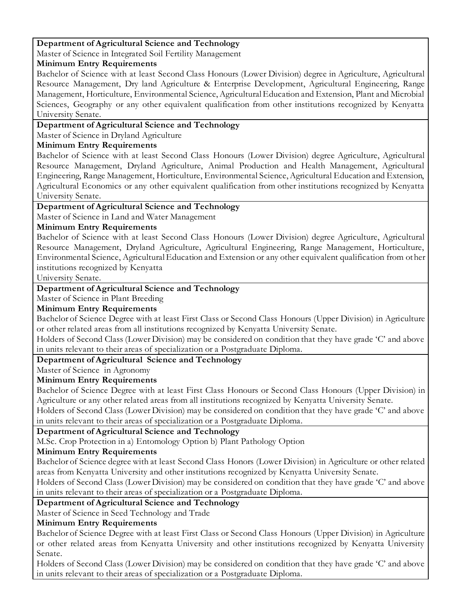# **Department of Agricultural Science and Technology**

Master of Science in Integrated Soil Fertility Management

#### **Minimum Entry Requirements**

Bachelor of Science with at least Second Class Honours (Lower Division) degree in Agriculture, Agricultural Resource Management, Dry land Agriculture & Enterprise Development, Agricultural Engineering, Range Management, Horticulture, Environmental Science, Agricultural Education and Extension, Plant and Microbial Sciences, Geography or any other equivalent qualification from other institutions recognized by Kenyatta University Senate.

# **Department of Agricultural Science and Technology**

Master of Science in Dryland Agriculture

# **Minimum Entry Requirements**

Bachelor of Science with at least Second Class Honours (Lower Division) degree Agriculture, Agricultural Resource Management, Dryland Agriculture, Animal Production and Health Management, Agricultural Engineering, Range Management, Horticulture, Environmental Science, Agricultural Education and Extension, Agricultural Economics or any other equivalent qualification from other institutions recognized by Kenyatta University Senate.

# **Department of Agricultural Science and Technology**

Master of Science in Land and Water Management

# **Minimum Entry Requirements**

Bachelor of Science with at least Second Class Honours (Lower Division) degree Agriculture, Agricultural Resource Management, Dryland Agriculture, Agricultural Engineering, Range Management, Horticulture, Environmental Science, Agricultural Education and Extension or any other equivalent qualification from other institutions recognized by Kenyatta

University Senate.

# **Department of Agricultural Science and Technology**

Master of Science in Plant Breeding

# **Minimum Entry Requirements**

Bachelor of Science Degree with at least First Class or Second Class Honours (Upper Division) in Agriculture or other related areas from all institutions recognized by Kenyatta University Senate.

Holders of Second Class (Lower Division) may be considered on condition that they have grade 'C' and above in units relevant to their areas of specialization or a Postgraduate Diploma.

# **Department of Agricultural Science and Technology**

Master of Science in Agronomy

# **Minimum Entry Requirements**

Bachelor of Science Degree with at least First Class Honours or Second Class Honours (Upper Division) in Agriculture or any other related areas from all institutions recognized by Kenyatta University Senate.

Holders of Second Class (Lower Division) may be considered on condition that they have grade 'C' and above in units relevant to their areas of specialization or a Postgraduate Diploma.

# **Department of Agricultural Science and Technology**

M.Sc. Crop Protection in a) Entomology Option b) Plant Pathology Option

# **Minimum Entry Requirements**

Bachelor of Science degree with at least Second Class Honors (Lower Division) in Agriculture or other related areas from Kenyatta University and other institutions recognized by Kenyatta University Senate.

Holders of Second Class (Lower Division) may be considered on condition that they have grade 'C' and above in units relevant to their areas of specialization or a Postgraduate Diploma.

# **Department of Agricultural Science and Technology**

Master of Science in Seed Technology and Trade

# **Minimum Entry Requirements**

Bachelor of Science Degree with at least First Class or Second Class Honours (Upper Division) in Agriculture or other related areas from Kenyatta University and other institutions recognized by Kenyatta University Senate.

Holders of Second Class (Lower Division) may be considered on condition that they have grade 'C' and above in units relevant to their areas of specialization or a Postgraduate Diploma.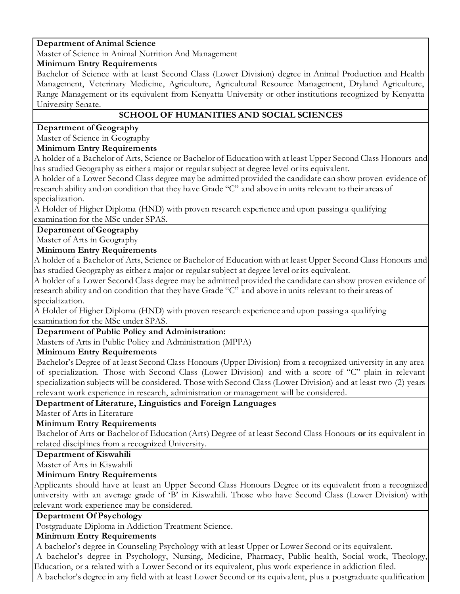# **Department of Animal Science**

Master of Science in Animal Nutrition And Management

#### **Minimum Entry Requirements**

Bachelor of Science with at least Second Class (Lower Division) degree in Animal Production and Health Management, Veterinary Medicine, Agriculture, Agricultural Resource Management, Dryland Agriculture, Range Management or its equivalent from Kenyatta University or other institutions recognized by Kenyatta University Senate.

# **SCHOOL OF HUMANITIES AND SOCIAL SCIENCES**

# **Department of Geography**

Master of Science in Geography

# **Minimum Entry Requirements**

A holder of a Bachelor of Arts, Science or Bachelor of Education with at least Upper Second Class Honours and has studied Geography as either a major or regular subject at degree level or its equivalent.

A holder of a Lower Second Class degree may be admitted provided the candidate can show proven evidence of research ability and on condition that they have Grade "C" and above in units relevant to their areas of specialization.

A Holder of Higher Diploma (HND) with proven research experience and upon passing a qualifying examination for the MSc under SPAS.

# **Department of Geography**

Master of Arts in Geography

# **Minimum Entry Requirements**

A holder of a Bachelor of Arts, Science or Bachelor of Education with at least Upper Second Class Honours and has studied Geography as either a major or regular subject at degree level or its equivalent.

A holder of a Lower Second Class degree may be admitted provided the candidate can show proven evidence of research ability and on condition that they have Grade "C" and above in units relevant to their areas of specialization.

A Holder of Higher Diploma (HND) with proven research experience and upon passing a qualifying examination for the MSc under SPAS.

# **Department of Public Policy and Administration:**

Masters of Arts in Public Policy and Administration (MPPA)

# **Minimum Entry Requirements**

Bachelor's Degree of at least Second Class Honours (Upper Division) from a recognized university in any area of specialization. Those with Second Class (Lower Division) and with a score of "C" plain in relevant specialization subjects will be considered. Those with Second Class (Lower Division) and at least two (2) years relevant work experience in research, administration or management will be considered.

# **Department of Literature, Linguistics and Foreign Languages**

Master of Arts in Literature

# **Minimum Entry Requirements**

Bachelor of Arts **or** Bachelor of Education (Arts) Degree of at least Second Class Honours **or** its equivalent in related disciplines from a recognized University.

# **Department of Kiswahili**

Master of Arts in Kiswahili

# **Minimum Entry Requirements**

Applicants should have at least an Upper Second Class Honours Degree or its equivalent from a recognized university with an average grade of 'B' in Kiswahili. Those who have Second Class (Lower Division) with relevant work experience may be considered.

# **Department Of Psychology**

Postgraduate Diploma in Addiction Treatment Science.

# **Minimum Entry Requirements**

A bachelor's degree in Counseling Psychology with at least Upper or Lower Second or its equivalent. A bachelor's degree in Psychology, Nursing, Medicine, Pharmacy, Public health, Social work, Theology, Education, or a related with a Lower Second or its equivalent, plus work experience in addiction filed. A bachelor's degree in any field with at least Lower Second or its equivalent, plus a postgraduate qualification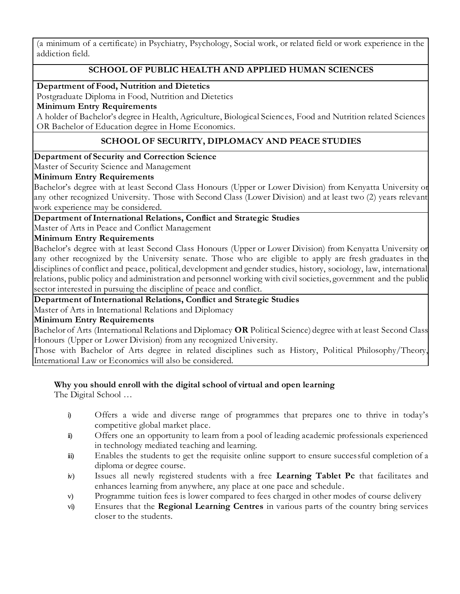(a minimum of a certificate) in Psychiatry, Psychology, Social work, or related field or work experience in the addiction field.

# **SCHOOL OF PUBLIC HEALTH AND APPLIED HUMAN SCIENCES**

**Department of Food, Nutrition and Dietetics**

Postgraduate Diploma in Food, Nutrition and Dietetics

#### **Minimum Entry Requirements**

A holder of Bachelor's degree in Health, Agriculture, Biological Sciences, Food and Nutrition related Sciences OR Bachelor of Education degree in Home Economics.

# **SCHOOL OF SECURITY, DIPLOMACY AND PEACE STUDIES**

#### **Department of Security and Correction Science**

Master of Security Science and Management

#### **Minimum Entry Requirements**

Bachelor's degree with at least Second Class Honours (Upper or Lower Division) from Kenyatta University or any other recognized University. Those with Second Class (Lower Division) and at least two (2) years relevant work experience may be considered.

#### **Department of International Relations, Conflict and Strategic Studies**

Master of Arts in Peace and Conflict Management

#### **Minimum Entry Requirements**

Bachelor's degree with at least Second Class Honours (Upper or Lower Division) from Kenyatta University or any other recognized by the University senate. Those who are eligible to apply are fresh graduates in the disciplines of conflict and peace, political, development and gender studies, history, sociology, law, international relations, public policy and administration and personnel working with civil societies, government and the public sector interested in pursuing the discipline of peace and conflict.

# **Department of International Relations, Conflict and Strategic Studies**

Master of Arts in International Relations and Diplomacy

#### **Minimum Entry Requirements**

Bachelor of Arts (International Relations and Diplomacy **OR** Political Science) degree with at least Second Class Honours (Upper or Lower Division) from any recognized University.

Those with Bachelor of Arts degree in related disciplines such as History, Political Philosophy/Theory, International Law or Economics will also be considered.

# **Why you should enroll with the digital school of virtual and open learning**

The Digital School …

- i) Offers a wide and diverse range of programmes that prepares one to thrive in today's competitive global market place.
- ii) Offers one an opportunity to learn from a pool of leading academic professionals experienced in technology mediated teaching and learning.
- iii) Enables the students to get the requisite online support to ensure successful completion of a diploma or degree course.
- iv) Issues all newly registered students with a free **Learning Tablet Pc** that facilitates and enhances learning from anywhere, any place at one pace and schedule.
- v) Programme tuition fees is lower compared to fees charged in other modes of course delivery
- vi) Ensures that the **Regional Learning Centres** in various parts of the country bring services closer to the students.